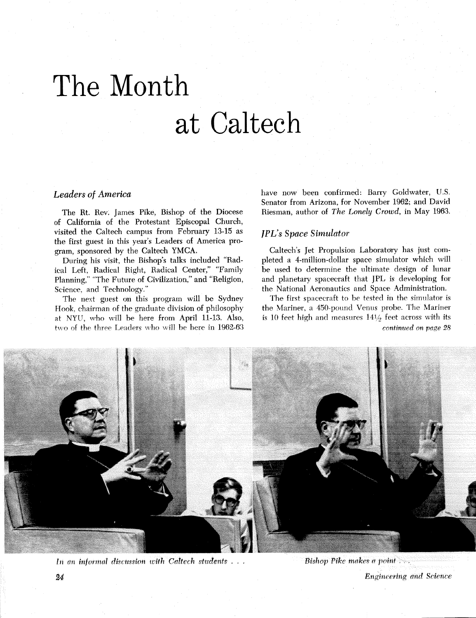## The Month at Caltech

## **Leaders of America**

The Rt. Rev. James Pike, Bishop of the Diocese of California of the Protestant Episcopal Church, visited the Caltech campus from February 13-15 as the first guest in this year's Leaders of America program, sponsored by the Caltech YMCA.

During his visit, the Bishop's talks included "Radical Left, Radical Right, Radical Center," "Family Planning," "The Future of Civilization," and "Religion, Science, and Technology."

The next guest on this program will be Sydney Hook, chairman of the graduate division of philosophy at NYU, who will be here from April 11-13. Also, two of the three Leaders who will be here in 1962-63 have now been confirmed: Barry Goldwater, U.S. Senator from Arizona, for November 1962; and David Riesman, author of The Lonely Crowd, in May 1963.

## **IPL's Space Simulator**

Caltech's Jet Propulsion Laboratory has just completed a 4-million-dollar space simulator which will be used to determine the ultimate design of lunar and planetary spacecraft that JPL is developing for the National Aeronautics and Space Administration.

The first spacecraft to be tested in the simulator is the Mariner, a 450-pound Venus probe. The Mariner is 10 feet high and measures  $14\frac{1}{2}$  feet across with its continued on page 28



In an informal discussion with Caltech students . . .

**Engineering and Science**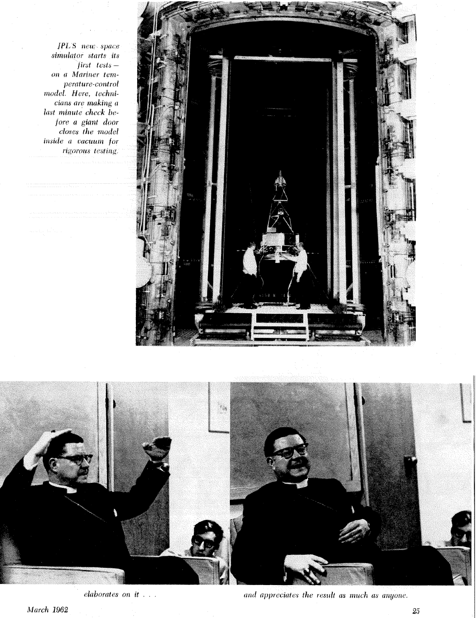*JPL'S* new space *simulator starts its fir&t tc&t&* - *on* a *Mariner temperature-control model. Here, technicium are making a*  **hist** *minute check before* u *giant door closes the model*  **inside** *a vacuum for*   $rigorous$  testing.





*elaborates on it* . . .

and *appreciates the result as much as anyone*.